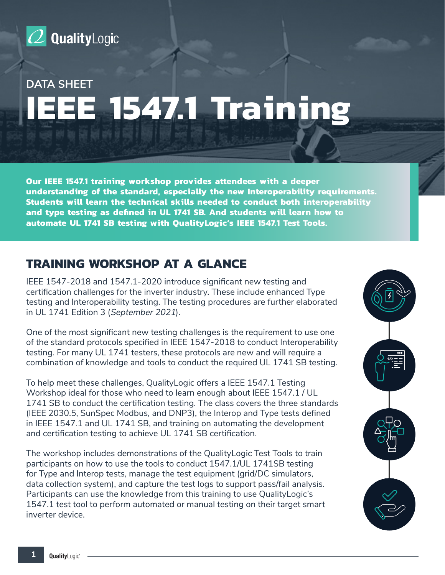

# **DATA SHEET IEEE 1547.1 Training**

**Our IEEE 1547.1 training workshop provides attendees with a deeper understanding of the standard, especially the new Interoperability requirements. Students will learn the technical skills needed to conduct both interoperability and type testing as defined in UL 1741 SB. And students will learn how to automate UL 1741 SB testing with QualityLogic's IEEE 1547.1 Test Tools.**

# **TRAINING WORKSHOP AT A GLANCE**

IEEE 1547-2018 and 1547.1-2020 introduce significant new testing and certification challenges for the inverter industry. These include enhanced Type testing and Interoperability testing. The testing procedures are further elaborated in UL 1741 Edition 3 (September 2021).

One of the most significant new testing challenges is the requirement to use one of the standard protocols specified in IEEE 1547-2018 to conduct Interoperability testing. For many UL 1741 testers, these protocols are new and will require a combination of knowledge and tools to conduct the required UL 1741 SB testing.

To help meet these challenges, QualityLogic offers a IEEE 1547.1 Testing Workshop ideal for those who need to learn enough about IEEE 1547.1 / UL 1741 SB to conduct the certification testing. The class covers the three standards (IEEE 2030.5, SunSpec Modbus, and DNP3), the Interop and Type tests defined in IEEE 1547.1 and UL 1741 SB, and training on automating the development and certification testing to achieve UL 1741 SB certification.

The workshop includes demonstrations of the QualityLogic Test Tools to train participants on how to use the tools to conduct 1547.1/UL 1741SB testing for Type and Interop tests, manage the test equipment (grid/DC simulators, data collection system), and capture the test logs to support pass/fail analysis. Participants can use the knowledge from this training to use QualityLogic's 1547.1 test tool to perform automated or manual testing on their target smart inverter device.